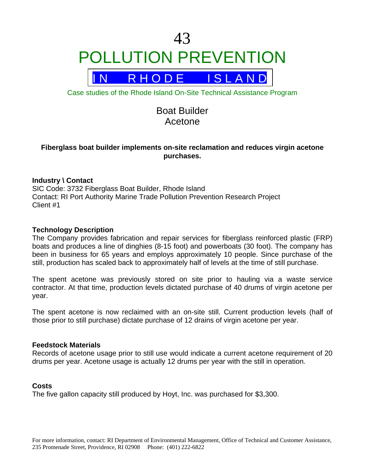# 43 POLLUTION PREVENTION



Case studies of the Rhode Island On-Site Technical Assistance Program

# Boat Builder Acetone

# **Fiberglass boat builder implements on-site reclamation and reduces virgin acetone purchases.**

# **Industry \ Contact**

SIC Code: 3732 Fiberglass Boat Builder, Rhode Island Contact: RI Port Authority Marine Trade Pollution Prevention Research Project Client #1

# **Technology Description**

The Company provides fabrication and repair services for fiberglass reinforced plastic (FRP) boats and produces a line of dinghies (8-15 foot) and powerboats (30 foot). The company has been in business for 65 years and employs approximately 10 people. Since purchase of the still, production has scaled back to approximately half of levels at the time of still purchase.

The spent acetone was previously stored on site prior to hauling via a waste service contractor. At that time, production levels dictated purchase of 40 drums of virgin acetone per year.

The spent acetone is now reclaimed with an on-site still. Current production levels (half of those prior to still purchase) dictate purchase of 12 drains of virgin acetone per year.

#### **Feedstock Materials**

Records of acetone usage prior to still use would indicate a current acetone requirement of 20 drums per year. Acetone usage is actually 12 drums per year with the still in operation.

#### **Costs**

The five gallon capacity still produced by Hoyt, Inc. was purchased for \$3,300.